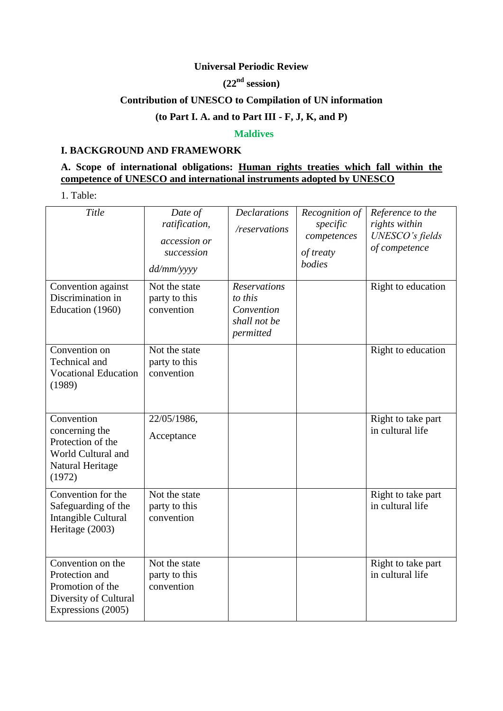### **Universal Periodic Review**

# **(22nd session)**

## **Contribution of UNESCO to Compilation of UN information**

## **(to Part I. A. and to Part III - F, J, K, and P)**

### **Maldives**

### **I. BACKGROUND AND FRAMEWORK**

### **A. Scope of international obligations: Human rights treaties which fall within the competence of UNESCO and international instruments adopted by UNESCO**

1. Table:

| Title                                                                                                  | Date of<br>ratification,<br>accession or<br>succession<br>dd/mm/yyyy | <b>Declarations</b><br>/reservations                                      | Recognition of<br>specific<br>competences<br>of treaty<br>bodies | Reference to the<br>rights within<br>UNESCO's fields<br>of competence |
|--------------------------------------------------------------------------------------------------------|----------------------------------------------------------------------|---------------------------------------------------------------------------|------------------------------------------------------------------|-----------------------------------------------------------------------|
| Convention against<br>Discrimination in<br>Education (1960)                                            | Not the state<br>party to this<br>convention                         | <b>Reservations</b><br>to this<br>Convention<br>shall not be<br>permitted |                                                                  | Right to education                                                    |
| Convention on<br>Technical and<br><b>Vocational Education</b><br>(1989)                                | Not the state<br>party to this<br>convention                         |                                                                           |                                                                  | Right to education                                                    |
| Convention<br>concerning the<br>Protection of the<br>World Cultural and<br>Natural Heritage<br>(1972)  | 22/05/1986,<br>Acceptance                                            |                                                                           |                                                                  | Right to take part<br>in cultural life                                |
| Convention for the<br>Safeguarding of the<br>Intangible Cultural<br>Heritage (2003)                    | Not the state<br>party to this<br>convention                         |                                                                           |                                                                  | Right to take part<br>in cultural life                                |
| Convention on the<br>Protection and<br>Promotion of the<br>Diversity of Cultural<br>Expressions (2005) | Not the state<br>party to this<br>convention                         |                                                                           |                                                                  | Right to take part<br>in cultural life                                |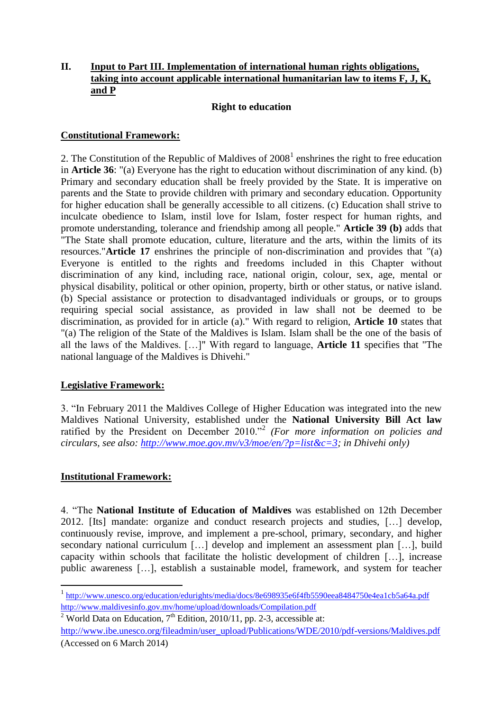### **II. Input to Part III. Implementation of international human rights obligations, taking into account applicable international humanitarian law to items F, J, K, and P**

### **Right to education**

### **Constitutional Framework:**

2. The Constitution of the Republic of Maldives of  $2008<sup>1</sup>$  enshrines the right to free education in **Article 36**: "(a) Everyone has the right to education without discrimination of any kind. (b) Primary and secondary education shall be freely provided by the State. It is imperative on parents and the State to provide children with primary and secondary education. Opportunity for higher education shall be generally accessible to all citizens. (c) Education shall strive to inculcate obedience to Islam, instil love for Islam, foster respect for human rights, and promote understanding, tolerance and friendship among all people." **Article 39 (b)** adds that "The State shall promote education, culture, literature and the arts, within the limits of its resources."**Article 17** enshrines the principle of non-discrimination and provides that "(a) Everyone is entitled to the rights and freedoms included in this Chapter without discrimination of any kind, including race, national origin, colour, sex, age, mental or physical disability, political or other opinion, property, birth or other status, or native island. (b) Special assistance or protection to disadvantaged individuals or groups, or to groups requiring special social assistance, as provided in law shall not be deemed to be discrimination, as provided for in article (a)." With regard to religion, **Article 10** states that "(a) The religion of the State of the Maldives is Islam. Islam shall be the one of the basis of all the laws of the Maldives. […]" With regard to language, **Article 11** specifies that "The national language of the Maldives is Dhivehi."

### **Legislative Framework:**

3. "In February 2011 the Maldives College of Higher Education was integrated into the new Maldives National University, established under the **National University Bill Act law** ratified by the President on December 2010."<sup>2</sup> *(For more information on policies and circulars, see also: [http://www.moe.gov.mv/v3/moe/en/?p=list&c=3;](http://www.moe.gov.mv/v3/moe/en/?p=list&c=3) in Dhivehi only)*

#### **Institutional Framework:**

4. "The **National Institute of Education of Maldives** was established on 12th December 2012. [Its] mandate: organize and conduct research projects and studies, […] develop, continuously revise, improve, and implement a pre-school, primary, secondary, and higher secondary national curriculum […] develop and implement an assessment plan […], build capacity within schools that facilitate the holistic development of children […], increase public awareness […], establish a sustainable model, framework, and system for teacher

<sup>1&</sup>lt;br><http://www.unesco.org/education/edurights/media/docs/8e698935e6f4fb5590eea8484750e4ea1cb5a64a.pdf> <http://www.maldivesinfo.gov.mv/home/upload/downloads/Compilation.pdf>

<sup>&</sup>lt;sup>2</sup> World Data on Education,  $7<sup>th</sup>$  Edition, 2010/11, pp. 2-3, accessible at: http://www.ibe.unesco.org/fileadmin/user\_upload/Publications/WDE/2010/pdf-versions/Maldives.pdf

<sup>(</sup>Accessed on 6 March 2014)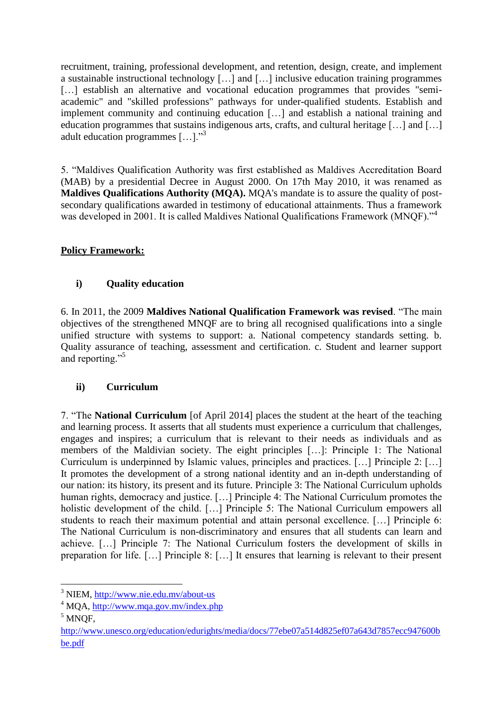recruitment, training, professional development, and retention, design, create, and implement a sustainable instructional technology […] and […] inclusive education training programmes [...] establish an alternative and vocational education programmes that provides "semiacademic" and "skilled professions" pathways for under-qualified students. Establish and implement community and continuing education […] and establish a national training and education programmes that sustains indigenous arts, crafts, and cultural heritage […] and […] adult education programmes […]."<sup>3</sup>

5. "Maldives Qualification Authority was first established as Maldives Accreditation Board (MAB) by a presidential Decree in August 2000. On 17th May 2010, it was renamed as **Maldives Qualifications Authority (MQA).** MQA's mandate is to assure the quality of postsecondary qualifications awarded in testimony of educational attainments. Thus a framework was developed in 2001. It is called Maldives National Qualifications Framework (MNQF).<sup>74</sup>

## **Policy Framework:**

## **i) Quality education**

6. In 2011, the 2009 **Maldives National Qualification Framework was revised**. "The main objectives of the strengthened MNQF are to bring all recognised qualifications into a single unified structure with systems to support: a. National competency standards setting. b. Quality assurance of teaching, assessment and certification. c. Student and learner support and reporting."<sup>5</sup>

## **ii) Curriculum**

7. "The **National Curriculum** [of April 2014] places the student at the heart of the teaching and learning process. It asserts that all students must experience a curriculum that challenges, engages and inspires; a curriculum that is relevant to their needs as individuals and as members of the Maldivian society. The eight principles […]: Principle 1: The National Curriculum is underpinned by Islamic values, principles and practices. […] Principle 2: […] It promotes the development of a strong national identity and an in-depth understanding of our nation: its history, its present and its future. Principle 3: The National Curriculum upholds human rights, democracy and justice. […] Principle 4: The National Curriculum promotes the holistic development of the child. [...] Principle 5: The National Curriculum empowers all students to reach their maximum potential and attain personal excellence. […] Principle 6: The National Curriculum is non-discriminatory and ensures that all students can learn and achieve. […] Principle 7: The National Curriculum fosters the development of skills in preparation for life. […] Principle 8: […] It ensures that learning is relevant to their present

<sup>1</sup> <sup>3</sup> NIEM,<http://www.nie.edu.mv/about-us>

<sup>4</sup> MQA,<http://www.mqa.gov.mv/index.php>

 $<sup>5</sup>$  MNOF.</sup>

[http://www.unesco.org/education/edurights/media/docs/77ebe07a514d825ef07a643d7857ecc947600b](http://www.unesco.org/education/edurights/media/docs/77ebe07a514d825ef07a643d7857ecc947600bbe.pdf) [be.pdf](http://www.unesco.org/education/edurights/media/docs/77ebe07a514d825ef07a643d7857ecc947600bbe.pdf)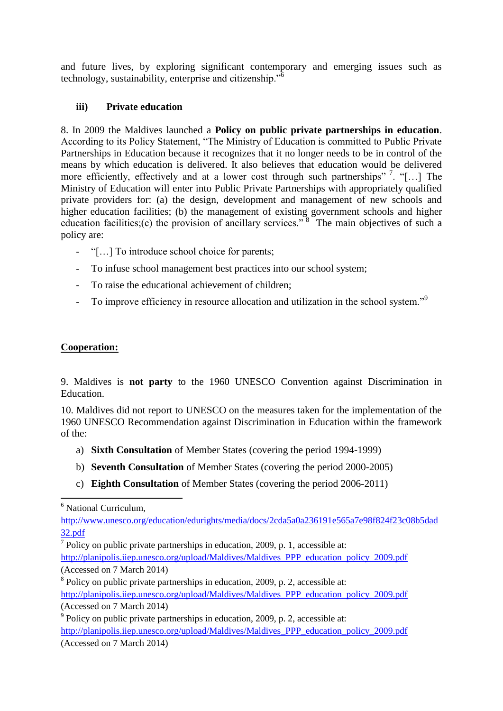and future lives, by exploring significant contemporary and emerging issues such as technology, sustainability, enterprise and citizenship."<sup>6</sup>

## **iii) Private education**

8. In 2009 the Maldives launched a **Policy on public private partnerships in education**. According to its Policy Statement, "The Ministry of Education is committed to Public Private Partnerships in Education because it recognizes that it no longer needs to be in control of the means by which education is delivered. It also believes that education would be delivered more efficiently, effectively and at a lower cost through such partnerships"  $7$ . "[...] The Ministry of Education will enter into Public Private Partnerships with appropriately qualified private providers for: (a) the design, development and management of new schools and higher education facilities; (b) the management of existing government schools and higher education facilities;(c) the provision of ancillary services."<sup>8</sup> The main objectives of such a policy are:

- "[…] To introduce school choice for parents;
- To infuse school management best practices into our school system;
- To raise the educational achievement of children;
- To improve efficiency in resource allocation and utilization in the school system."<sup>9</sup>

## **Cooperation:**

9. Maldives is **not party** to the 1960 UNESCO Convention against Discrimination in Education.

10. Maldives did not report to UNESCO on the measures taken for the implementation of the 1960 UNESCO Recommendation against Discrimination in Education within the framework of the:

- a) **Sixth Consultation** of Member States (covering the period 1994-1999)
- b) **Seventh Consultation** of Member States (covering the period 2000-2005)
- c) **Eighth Consultation** of Member States (covering the period 2006-2011)

 $\overline{a}$ 

[http://www.unesco.org/education/edurights/media/docs/2cda5a0a236191e565a7e98f824f23c08b5dad](http://www.unesco.org/education/edurights/media/docs/2cda5a0a236191e565a7e98f824f23c08b5dad32.pdf) [32.pdf](http://www.unesco.org/education/edurights/media/docs/2cda5a0a236191e565a7e98f824f23c08b5dad32.pdf)

 $7$  Policy on public private partnerships in education, 2009, p. 1, accessible at:

[http://planipolis.iiep.unesco.org/upload/Maldives/Maldives\\_PPP\\_education\\_policy\\_2009.pdf](http://planipolis.iiep.unesco.org/upload/Maldives/Maldives_PPP_education_policy_2009.pdf) (Accessed on 7 March 2014)

<sup>8</sup> Policy on public private partnerships in education, 2009, p. 2, accessible at: [http://planipolis.iiep.unesco.org/upload/Maldives/Maldives\\_PPP\\_education\\_policy\\_2009.pdf](http://planipolis.iiep.unesco.org/upload/Maldives/Maldives_PPP_education_policy_2009.pdf) (Accessed on 7 March 2014)

<sup>9</sup> Policy on public private partnerships in education, 2009, p. 2, accessible at: [http://planipolis.iiep.unesco.org/upload/Maldives/Maldives\\_PPP\\_education\\_policy\\_2009.pdf](http://planipolis.iiep.unesco.org/upload/Maldives/Maldives_PPP_education_policy_2009.pdf) (Accessed on 7 March 2014)

<sup>6</sup> National Curriculum,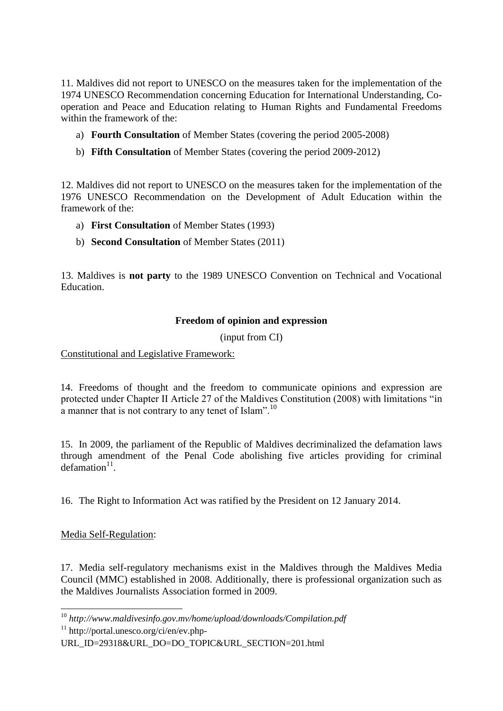11. Maldives did not report to UNESCO on the measures taken for the implementation of the 1974 UNESCO Recommendation concerning Education for International Understanding, Cooperation and Peace and Education relating to Human Rights and Fundamental Freedoms within the framework of the:

- a) **Fourth Consultation** of Member States (covering the period 2005-2008)
- b) **Fifth Consultation** of Member States (covering the period 2009-2012)

12. Maldives did not report to UNESCO on the measures taken for the implementation of the 1976 UNESCO Recommendation on the Development of Adult Education within the framework of the:

- a) **First Consultation** of Member States (1993)
- b) **Second Consultation** of Member States (2011)

13. Maldives is **not party** to the 1989 UNESCO Convention on Technical and Vocational Education.

### **Freedom of opinion and expression**

(input from CI)

Constitutional and Legislative Framework:

14. Freedoms of thought and the freedom to communicate opinions and expression are protected under Chapter II Article 27 of the Maldives Constitution (2008) with limitations "in a manner that is not contrary to any tenet of Islam".<sup>10</sup>

15. In 2009, the parliament of the Republic of Maldives decriminalized the defamation laws through amendment of the Penal Code abolishing five articles providing for criminal  $defamation<sup>11</sup>$ .

16. The Right to Information Act was ratified by the President on 12 January 2014.

### Media Self-Regulation:

**.** 

17. Media self-regulatory mechanisms exist in the Maldives through the Maldives Media Council (MMC) established in 2008. Additionally, there is professional organization such as the Maldives Journalists Association formed in 2009.

<sup>10</sup> *http://www.maldivesinfo.gov.mv/home/upload/downloads/Compilation.pdf*

<sup>11</sup> http://portal.unesco.org/ci/en/ev.php-

URL\_ID=29318&URL\_DO=DO\_TOPIC&URL\_SECTION=201.html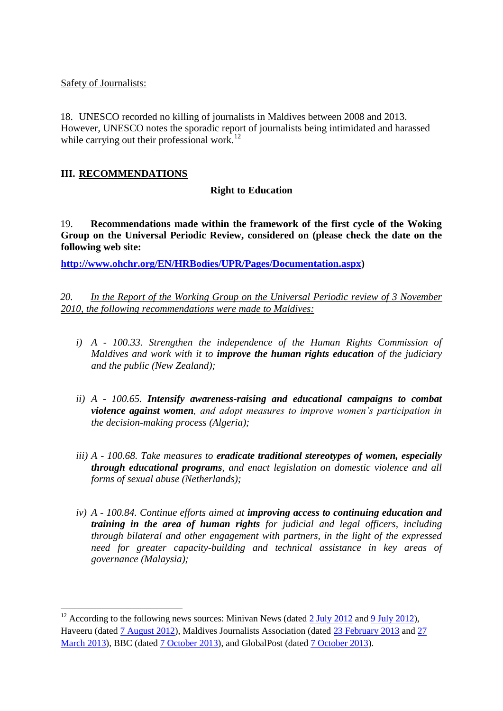Safety of Journalists:

**.** 

18. UNESCO recorded no killing of journalists in Maldives between 2008 and 2013. However, UNESCO notes the sporadic report of journalists being intimidated and harassed while carrying out their professional work.<sup>12</sup>

## **III. RECOMMENDATIONS**

### **Right to Education**

19. **Recommendations made within the framework of the first cycle of the Woking Group on the Universal Periodic Review, considered on (please check the date on the following web site:**

**[http://www.ohchr.org/EN/HRBodies/UPR/Pages/Documentation.aspx\)](http://www.ohchr.org/EN/HRBodies/UPR/Pages/Documentation.aspx)** 

*20. In the Report of the Working Group on the Universal Periodic review of 3 November 2010, the following recommendations were made to Maldives:*

- *i) A - 100.33. Strengthen the independence of the Human Rights Commission of Maldives and work with it to improve the human rights education of the judiciary and the public (New Zealand);*
- *ii) A - 100.65. Intensify awareness-raising and educational campaigns to combat violence against women, and adopt measures to improve women's participation in the decision-making process (Algeria);*
- *iii) A - 100.68. Take measures to eradicate traditional stereotypes of women, especially through educational programs, and enact legislation on domestic violence and all forms of sexual abuse (Netherlands);*
- *iv) A - 100.84. Continue efforts aimed at improving access to continuing education and training in the area of human rights for judicial and legal officers, including through bilateral and other engagement with partners, in the light of the expressed need for greater capacity-building and technical assistance in key areas of governance (Malaysia);*

<sup>&</sup>lt;sup>12</sup> According to the following news sources: Minivan News (dated [2 July 2012](http://minivannews.com/society/slashed-journalist-claims-attack-was-targeted-assassination-by-islamic-radicals-40078) and [9 July 2012\)](http://minivannews.com/politics/two-journalists-among-23-arrested-in-continued-mdp-protests-40473), Haveeru (dated [7 August 2012\)](http://www.haveeru.com.mv/news/43872), Maldives Journalists Association (dated [23 February 2013](http://www.mja.org.mv/index.php/news/219-strongly-condemns-violent-attacks-on-media) and [27](http://www.mja.org.mv/index.php/news/224-condemns-the-arrest-of-sun-online-journalist)  [March 2013\)](http://www.mja.org.mv/index.php/news/224-condemns-the-arrest-of-sun-online-journalist), BBC (dated [7 October 2013\)](http://www.bbc.com/news/world-asia-24427490), and GlobalPost (date[d 7 October 2013\)](http://www.globalpost.com/dispatch/news/afp/131007/television-channel-set-fire-amid-maldives-crisis).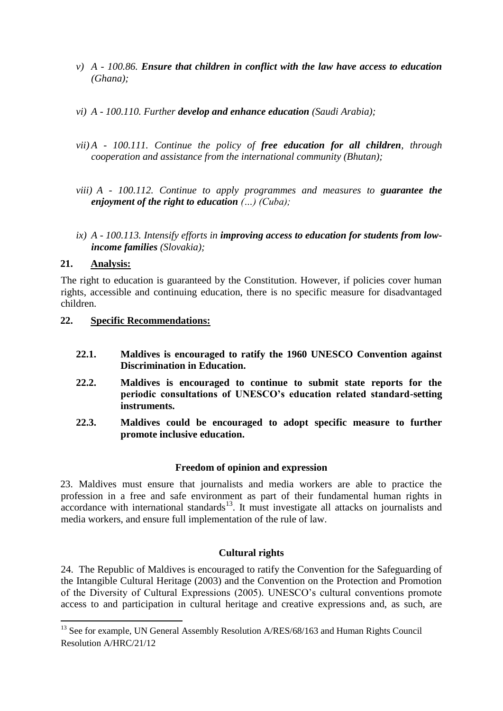- *v) A - 100.86. Ensure that children in conflict with the law have access to education (Ghana);*
- *vi) A - 100.110. Further develop and enhance education (Saudi Arabia);*
- *vii) A - 100.111. Continue the policy of free education for all children, through cooperation and assistance from the international community (Bhutan);*
- *viii) A - 100.112. Continue to apply programmes and measures to guarantee the enjoyment of the right to education (…) (Cuba);*
- ix) A 100.113. Intensify efforts in *improving access to education for students from lowincome families (Slovakia);*

### **21. Analysis:**

**.** 

The right to education is guaranteed by the Constitution. However, if policies cover human rights, accessible and continuing education, there is no specific measure for disadvantaged children.

#### **22. Specific Recommendations:**

- **22.1. Maldives is encouraged to ratify the 1960 UNESCO Convention against Discrimination in Education.**
- **22.2. Maldives is encouraged to continue to submit state reports for the periodic consultations of UNESCO's education related standard-setting instruments.**
- **22.3. Maldives could be encouraged to adopt specific measure to further promote inclusive education.**

#### **Freedom of opinion and expression**

23. Maldives must ensure that journalists and media workers are able to practice the profession in a free and safe environment as part of their fundamental human rights in accordance with international standards<sup>13</sup>. It must investigate all attacks on journalists and media workers, and ensure full implementation of the rule of law.

### **Cultural rights**

24. The Republic of Maldives is encouraged to ratify the Convention for the Safeguarding of the Intangible Cultural Heritage (2003) and the Convention on the Protection and Promotion of the Diversity of Cultural Expressions (2005). UNESCO's cultural conventions promote access to and participation in cultural heritage and creative expressions and, as such, are

<sup>&</sup>lt;sup>13</sup> See for example, UN General Assembly Resolution A/RES/68/163 and Human Rights Council Resolution A/HRC/21/12